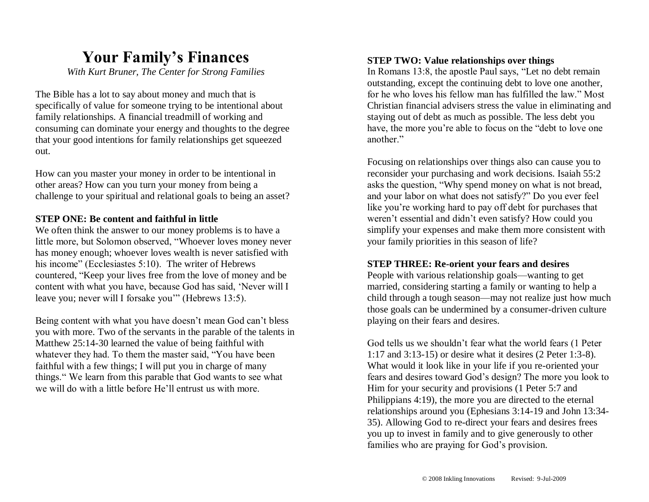## **Your Family's Finances**

*With Kurt Bruner, The Center for Strong Families*

The Bible has a lot to say about money and much that is specifically of value for someone trying to be intentional about family relationships. A financial treadmill of working and consuming can dominate your energy and thoughts to the degree that your good intentions for family relationships get squeezed out.

How can you master your money in order to be intentional in other areas? How can you turn your money from being a challenge to your spiritual and relational goals to being an asset?

#### **STEP ONE: Be content and faithful in little**

We often think the answer to our money problems is to have a little more, but Solomon observed, "Whoever loves money never has money enough; whoever loves wealth is never satisfied with his income" (Ecclesiastes 5:10). The writer of Hebrews countered, "Keep your lives free from the love of money and be content with what you have, because God has said, 'Never will I leave you; never will I forsake you'" (Hebrews 13:5).

Being content with what you have doesn't mean God can't bless you with more. Two of the servants in the parable of the talents in Matthew 25:14-30 learned the value of being faithful with whatever they had. To them the master said, "You have been faithful with a few things; I will put you in charge of many things." We learn from this parable that God wants to see what we will do with a little before He'll entrust us with more.

#### **STEP TWO: Value relationships over things**

In Romans 13:8, the apostle Paul says, "Let no debt remain outstanding, except the continuing debt to love one another, for he who loves his fellow man has fulfilled the law." Most Christian financial advisers stress the value in eliminating and staying out of debt as much as possible. The less debt you have, the more you're able to focus on the "debt to love one another."

Focusing on relationships over things also can cause you to reconsider your purchasing and work decisions. Isaiah 55:2 asks the question, "Why spend money on what is not bread, and your labor on what does not satisfy?" Do you ever feel like you're working hard to pay off debt for purchases that weren't essential and didn't even satisfy? How could you simplify your expenses and make them more consistent with your family priorities in this season of life?

#### **STEP THREE: Re-orient your fears and desires**

People with various relationship goals—wanting to get married, considering starting a family or wanting to help a child through a tough season—may not realize just how much those goals can be undermined by a consumer-driven culture playing on their fears and desires.

God tells us we shouldn't fear what the world fears (1 Peter 1:17 and 3:13-15) or desire what it desires (2 Peter 1:3-8). What would it look like in your life if you re-oriented your fears and desires toward God's design? The more you look to Him for your security and provisions (1 Peter 5:7 and Philippians 4:19), the more you are directed to the eternal relationships around you (Ephesians 3:14-19 and John 13:34- 35). Allowing God to re-direct your fears and desires frees you up to invest in family and to give generously to other families who are praying for God's provision.